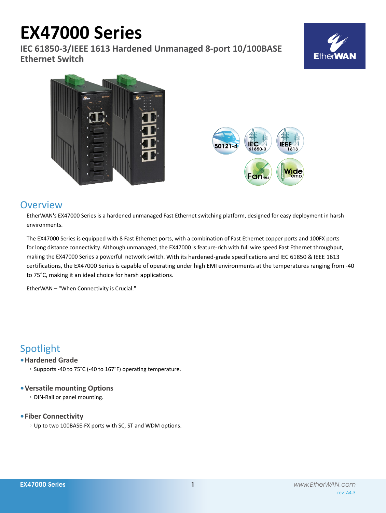# **EX47000 Series**

**IEC 61850-3/IEEE 1613 Hardened Unmanaged 8-port 10/100BASE Ethernet Switch**







# **Overview**

EtherWAN's EX47000 Series is a hardened unmanaged Fast Ethernet switching platform, designed for easy deployment in harsh environments.

The EX47000 Series is equipped with 8 Fast Ethernet ports, with a combination of Fast Ethernet copper ports and 100FX ports for long distance connectivity. Although unmanaged, the EX47000 is feature-rich with full wire speed Fast Ethernet throughput, making the EX47000 Series a powerful network switch. With its hardened-grade specifications and IEC 61850 & IEEE 1613 certifications, the EX47000 Series is capable of operating under high EMI environments at the temperatures ranging from -40 to 75°C, making it an ideal choice for harsh applications.

EtherWAN – "When Connectivity is Crucial."

# Spotlight

## **• Hardened Grade**

◦ Supports -40 to 75°C (-40 to 167°F) operating temperature.

### **• Versatile mounting Options**

◦ DIN-Rail or panel mounting.

## **• Fiber Connectivity**

◦ Up to two 100BASE-FX ports with SC, ST and WDM options.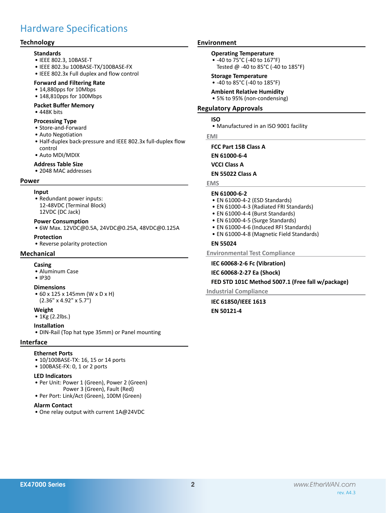# Hardware Specifications

### **Technology**

#### **Standards**

- • IEEE 802.3, 10BASE-T
- • IEEE 802.3u 100BASE-TX/100BASE-FX
- • IEEE 802.3x Full duplex and flow control

#### **Forward and Filtering Rate**

- 14,880pps for 10Mbps
- 148,810pps for 100Mbps

#### **Packet Buffer Memory**

• 448K bits

#### **Processing Type**

- • Store-and-Forward
- • Auto Negotiation
- Half-duplex back-pressure and IEEE 802.3x full-duplex flow control
- • Auto MDI/MDIX

#### **Address Table Size**

• 2048 MAC addresses

#### **Power**

#### **Input**

• Redundant power inputs: 12-48VDC (Terminal Block) 12VDC (DC Jack)

#### **Power Consumption**

• 6W Max. 12VDC@0.5A, 24VDC@0.25A, 48VDC@0.125A

# **Protection**

• Reverse polarity protection

#### **Mechanical**

#### **Casing**

• Aluminum Case

#### • IP30

#### **Dimensions**

• 60 x 125 x 145mm (W x D x H) (2.36" x 4.92" x 5.7")

#### **Weight**

• 1Kg (2.2lbs.)

#### **Installation**

• DIN-Rail (Top hat type 35mm) or Panel mounting

#### **Interface**

#### **Ethernet Ports**

- 10/100BASE-TX: 16, 15 or 14 ports
- 100BASE-FX: 0, 1 or 2 ports

#### **LED Indicators**

- Per Unit: Power 1 (Green), Power 2 (Green) Power 3 (Green), Fault (Red)
- • Per Port: Link/Act (Green), 100M (Green)

#### **Alarm Contact**

• One relay output with current 1A@24VDC

#### **Environment**

# **Operating Temperature**

- • -40 to 75°C (-40 to 167°F)
	- Tested @ -40 to 85°C (-40 to 185°F)

#### **Storage Temperature**

• -40 to 85°C (-40 to 185°F)

#### **Ambient Relative Humidity**

• 5% to 95% (non-condensing)

#### **Regulatory Approvals**

#### **ISO**

• Manufactured in an ISO 9001 facility

#### **EMI**

**FCC Part 15B Class A EN 61000-6-4 VCCI Class A**

**EN 55022 Class A**

#### **EMS**

#### **EN 61000-6-2**

- EN 61000-4-2 (ESD Standards)
- EN 61000-4-3 (Radiated FRI Standards)
- EN 61000-4-4 (Burst Standards)
- EN 61000-4-5 (Surge Standards)
- EN 61000-4-6 (Induced RFI Standards)
- EN 61000-4-8 (Magnetic Field Standards)

#### **EN 55024**

**Environmental Test Compliance**

#### **IEC 60068-2-6 Fc (Vibration)**

**IEC 60068-2-27 Ea (Shock)**

#### **FED STD 101C Method 5007.1 (Free fall w/package)**

**Industrial Compliance**

**IEC 61850/IEEE 1613 EN 50121-4**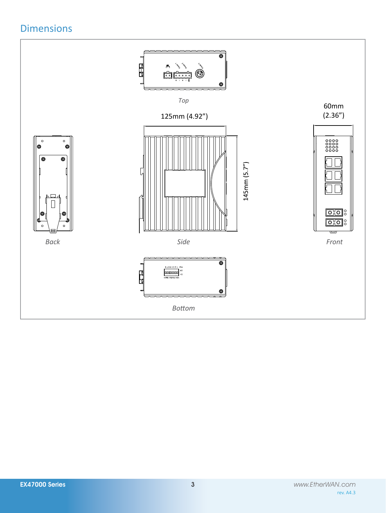# Dimensions